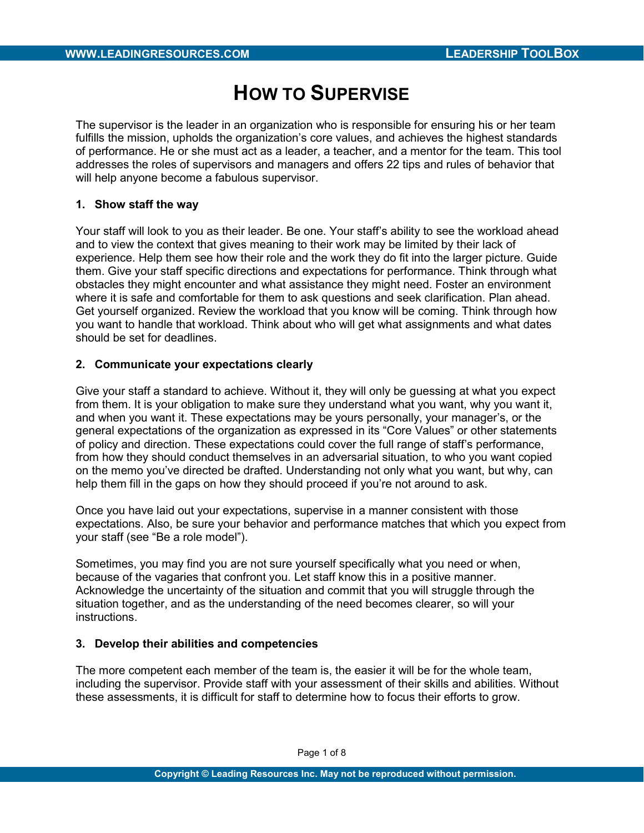# HOW TO SUPERVISE

The supervisor is the leader in an organization who is responsible for ensuring his or her team fulfills the mission, upholds the organization's core values, and achieves the highest standards of performance. He or she must act as a leader, a teacher, and a mentor for the team. This tool addresses the roles of supervisors and managers and offers 22 tips and rules of behavior that will help anyone become a fabulous supervisor.

# 1. Show staff the way

Your staff will look to you as their leader. Be one. Your staff's ability to see the workload ahead and to view the context that gives meaning to their work may be limited by their lack of experience. Help them see how their role and the work they do fit into the larger picture. Guide them. Give your staff specific directions and expectations for performance. Think through what obstacles they might encounter and what assistance they might need. Foster an environment where it is safe and comfortable for them to ask questions and seek clarification. Plan ahead. Get yourself organized. Review the workload that you know will be coming. Think through how you want to handle that workload. Think about who will get what assignments and what dates should be set for deadlines.

# 2. Communicate your expectations clearly

Give your staff a standard to achieve. Without it, they will only be guessing at what you expect from them. It is your obligation to make sure they understand what you want, why you want it, and when you want it. These expectations may be yours personally, your manager's, or the general expectations of the organization as expressed in its "Core Values" or other statements of policy and direction. These expectations could cover the full range of staff's performance, from how they should conduct themselves in an adversarial situation, to who you want copied on the memo you've directed be drafted. Understanding not only what you want, but why, can help them fill in the gaps on how they should proceed if you're not around to ask.

Once you have laid out your expectations, supervise in a manner consistent with those expectations. Also, be sure your behavior and performance matches that which you expect from your staff (see "Be a role model").

Sometimes, you may find you are not sure yourself specifically what you need or when, because of the vagaries that confront you. Let staff know this in a positive manner. Acknowledge the uncertainty of the situation and commit that you will struggle through the situation together, and as the understanding of the need becomes clearer, so will your instructions.

## 3. Develop their abilities and competencies

The more competent each member of the team is, the easier it will be for the whole team, including the supervisor. Provide staff with your assessment of their skills and abilities. Without these assessments, it is difficult for staff to determine how to focus their efforts to grow.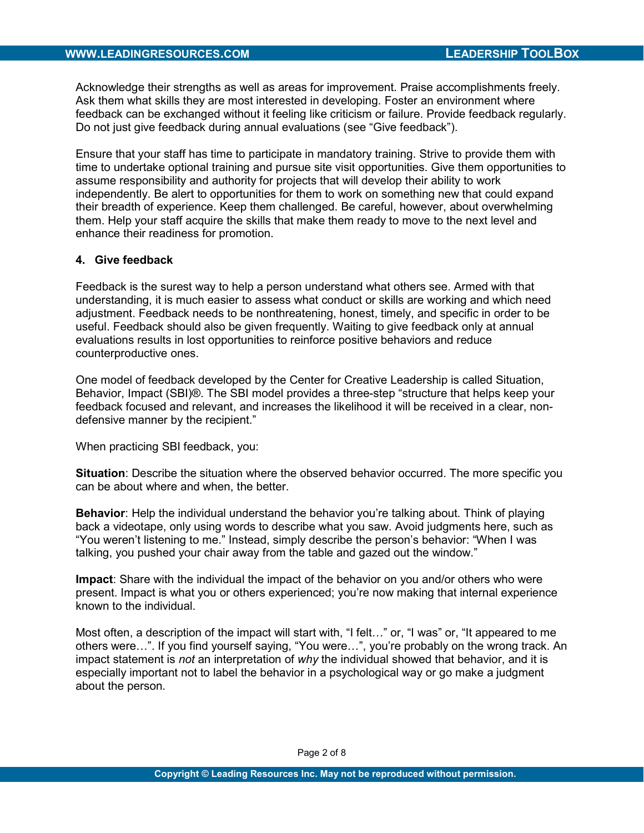Acknowledge their strengths as well as areas for improvement. Praise accomplishments freely. Ask them what skills they are most interested in developing. Foster an environment where feedback can be exchanged without it feeling like criticism or failure. Provide feedback regularly. Do not just give feedback during annual evaluations (see "Give feedback").

Ensure that your staff has time to participate in mandatory training. Strive to provide them with time to undertake optional training and pursue site visit opportunities. Give them opportunities to assume responsibility and authority for projects that will develop their ability to work independently. Be alert to opportunities for them to work on something new that could expand their breadth of experience. Keep them challenged. Be careful, however, about overwhelming them. Help your staff acquire the skills that make them ready to move to the next level and enhance their readiness for promotion.

# 4. Give feedback

Feedback is the surest way to help a person understand what others see. Armed with that understanding, it is much easier to assess what conduct or skills are working and which need adjustment. Feedback needs to be nonthreatening, honest, timely, and specific in order to be useful. Feedback should also be given frequently. Waiting to give feedback only at annual evaluations results in lost opportunities to reinforce positive behaviors and reduce counterproductive ones.

One model of feedback developed by the Center for Creative Leadership is called Situation, Behavior, Impact (SBI)®. The SBI model provides a three-step "structure that helps keep your feedback focused and relevant, and increases the likelihood it will be received in a clear, nondefensive manner by the recipient."

When practicing SBI feedback, you:

Situation: Describe the situation where the observed behavior occurred. The more specific you can be about where and when, the better.

Behavior: Help the individual understand the behavior you're talking about. Think of playing back a videotape, only using words to describe what you saw. Avoid judgments here, such as "You weren't listening to me." Instead, simply describe the person's behavior: "When I was talking, you pushed your chair away from the table and gazed out the window."

Impact: Share with the individual the impact of the behavior on you and/or others who were present. Impact is what you or others experienced; you're now making that internal experience known to the individual.

Most often, a description of the impact will start with, "I felt…" or, "I was" or, "It appeared to me others were…". If you find yourself saying, "You were…", you're probably on the wrong track. An impact statement is not an interpretation of why the individual showed that behavior, and it is especially important not to label the behavior in a psychological way or go make a judgment about the person.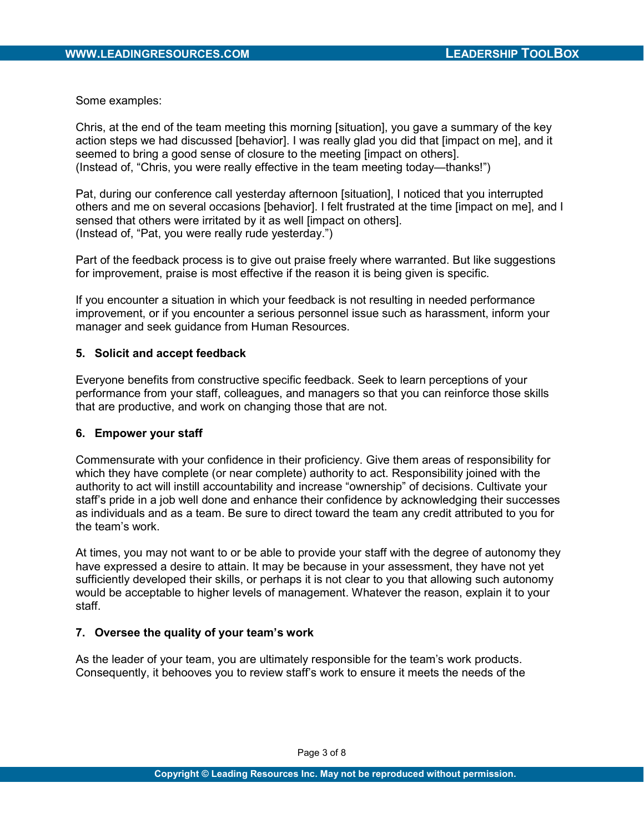Some examples:

Chris, at the end of the team meeting this morning [situation], you gave a summary of the key action steps we had discussed [behavior]. I was really glad you did that [impact on me], and it seemed to bring a good sense of closure to the meeting [impact on others]. (Instead of, "Chris, you were really effective in the team meeting today—thanks!")

Pat, during our conference call yesterday afternoon [situation], I noticed that you interrupted others and me on several occasions [behavior]. I felt frustrated at the time [impact on me], and I sensed that others were irritated by it as well [impact on others]. (Instead of, "Pat, you were really rude yesterday.")

Part of the feedback process is to give out praise freely where warranted. But like suggestions for improvement, praise is most effective if the reason it is being given is specific.

If you encounter a situation in which your feedback is not resulting in needed performance improvement, or if you encounter a serious personnel issue such as harassment, inform your manager and seek guidance from Human Resources.

# 5. Solicit and accept feedback

Everyone benefits from constructive specific feedback. Seek to learn perceptions of your performance from your staff, colleagues, and managers so that you can reinforce those skills that are productive, and work on changing those that are not.

## 6. Empower your staff

Commensurate with your confidence in their proficiency. Give them areas of responsibility for which they have complete (or near complete) authority to act. Responsibility joined with the authority to act will instill accountability and increase "ownership" of decisions. Cultivate your staff's pride in a job well done and enhance their confidence by acknowledging their successes as individuals and as a team. Be sure to direct toward the team any credit attributed to you for the team's work.

At times, you may not want to or be able to provide your staff with the degree of autonomy they have expressed a desire to attain. It may be because in your assessment, they have not yet sufficiently developed their skills, or perhaps it is not clear to you that allowing such autonomy would be acceptable to higher levels of management. Whatever the reason, explain it to your staff.

# 7. Oversee the quality of your team's work

As the leader of your team, you are ultimately responsible for the team's work products. Consequently, it behooves you to review staff's work to ensure it meets the needs of the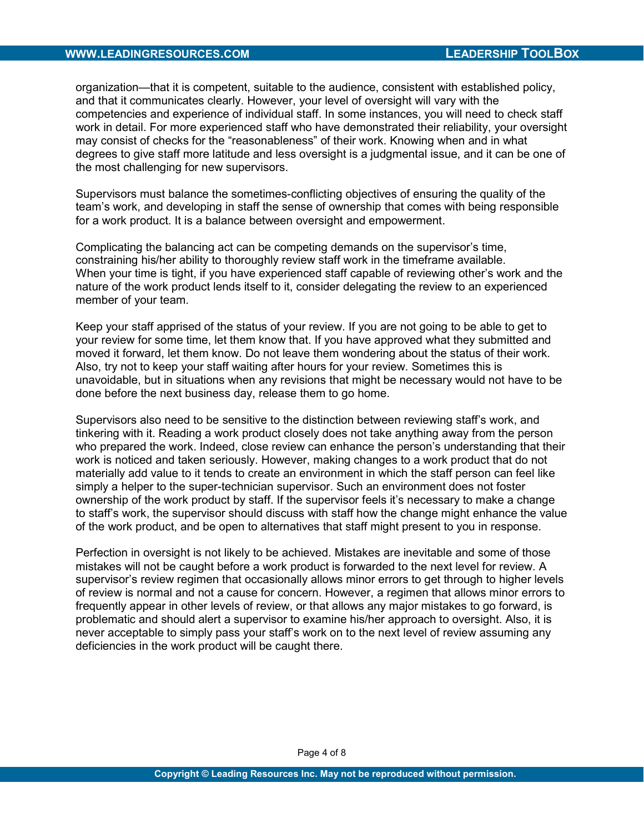#### WWW.LEADINGRESOURCES.COM LEADERSHIP TOOLBOX

organization—that it is competent, suitable to the audience, consistent with established policy, and that it communicates clearly. However, your level of oversight will vary with the competencies and experience of individual staff. In some instances, you will need to check staff work in detail. For more experienced staff who have demonstrated their reliability, your oversight may consist of checks for the "reasonableness" of their work. Knowing when and in what degrees to give staff more latitude and less oversight is a judgmental issue, and it can be one of the most challenging for new supervisors.

Supervisors must balance the sometimes-conflicting objectives of ensuring the quality of the team's work, and developing in staff the sense of ownership that comes with being responsible for a work product. It is a balance between oversight and empowerment.

Complicating the balancing act can be competing demands on the supervisor's time, constraining his/her ability to thoroughly review staff work in the timeframe available. When your time is tight, if you have experienced staff capable of reviewing other's work and the nature of the work product lends itself to it, consider delegating the review to an experienced member of your team.

Keep your staff apprised of the status of your review. If you are not going to be able to get to your review for some time, let them know that. If you have approved what they submitted and moved it forward, let them know. Do not leave them wondering about the status of their work. Also, try not to keep your staff waiting after hours for your review. Sometimes this is unavoidable, but in situations when any revisions that might be necessary would not have to be done before the next business day, release them to go home.

Supervisors also need to be sensitive to the distinction between reviewing staff's work, and tinkering with it. Reading a work product closely does not take anything away from the person who prepared the work. Indeed, close review can enhance the person's understanding that their work is noticed and taken seriously. However, making changes to a work product that do not materially add value to it tends to create an environment in which the staff person can feel like simply a helper to the super-technician supervisor. Such an environment does not foster ownership of the work product by staff. If the supervisor feels it's necessary to make a change to staff's work, the supervisor should discuss with staff how the change might enhance the value of the work product, and be open to alternatives that staff might present to you in response.

Perfection in oversight is not likely to be achieved. Mistakes are inevitable and some of those mistakes will not be caught before a work product is forwarded to the next level for review. A supervisor's review regimen that occasionally allows minor errors to get through to higher levels of review is normal and not a cause for concern. However, a regimen that allows minor errors to frequently appear in other levels of review, or that allows any major mistakes to go forward, is problematic and should alert a supervisor to examine his/her approach to oversight. Also, it is never acceptable to simply pass your staff's work on to the next level of review assuming any deficiencies in the work product will be caught there.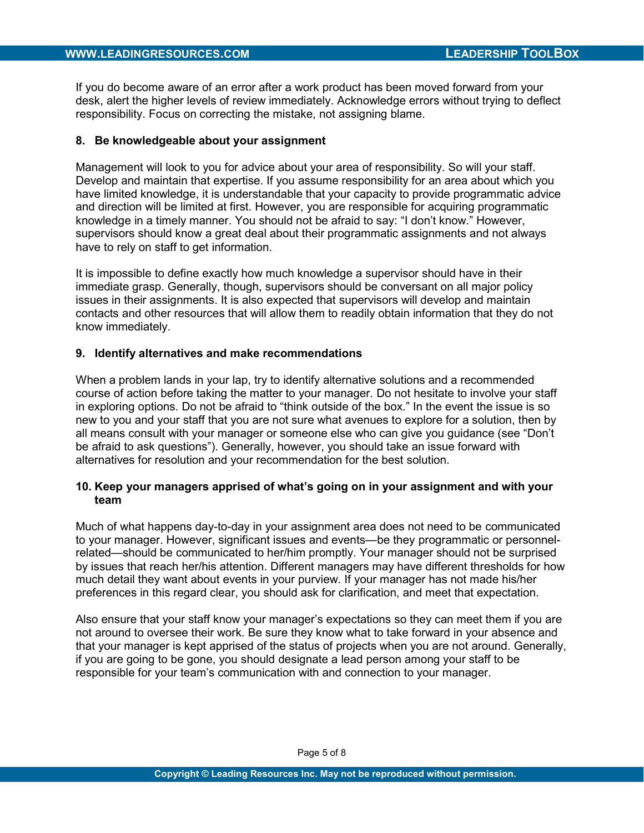If you do become aware of an error after a work product has been moved forward from your desk, alert the higher levels of review immediately. Acknowledge errors without trying to deflect responsibility. Focus on correcting the mistake, not assigning blame.

## 8. Be knowledgeable about your assignment

Management will look to you for advice about your area of responsibility. So will your staff. Develop and maintain that expertise. If you assume responsibility for an area about which you have limited knowledge, it is understandable that your capacity to provide programmatic advice and direction will be limited at first. However, you are responsible for acquiring programmatic knowledge in a timely manner. You should not be afraid to say: "I don't know." However, supervisors should know a great deal about their programmatic assignments and not always have to rely on staff to get information.

It is impossible to define exactly how much knowledge a supervisor should have in their immediate grasp. Generally, though, supervisors should be conversant on all major policy issues in their assignments. It is also expected that supervisors will develop and maintain contacts and other resources that will allow them to readily obtain information that they do not know immediately.

# 9. Identify alternatives and make recommendations

When a problem lands in your lap, try to identify alternative solutions and a recommended course of action before taking the matter to your manager. Do not hesitate to involve your staff in exploring options. Do not be afraid to "think outside of the box." In the event the issue is so new to you and your staff that you are not sure what avenues to explore for a solution, then by all means consult with your manager or someone else who can give you guidance (see "Don't be afraid to ask questions"). Generally, however, you should take an issue forward with alternatives for resolution and your recommendation for the best solution.

# 10. Keep your managers apprised of what's going on in your assignment and with your team

Much of what happens day-to-day in your assignment area does not need to be communicated to your manager. However, significant issues and events—be they programmatic or personnelrelated—should be communicated to her/him promptly. Your manager should not be surprised by issues that reach her/his attention. Different managers may have different thresholds for how much detail they want about events in your purview. If your manager has not made his/her preferences in this regard clear, you should ask for clarification, and meet that expectation.

Also ensure that your staff know your manager's expectations so they can meet them if you are not around to oversee their work. Be sure they know what to take forward in your absence and that your manager is kept apprised of the status of projects when you are not around. Generally, if you are going to be gone, you should designate a lead person among your staff to be responsible for your team's communication with and connection to your manager.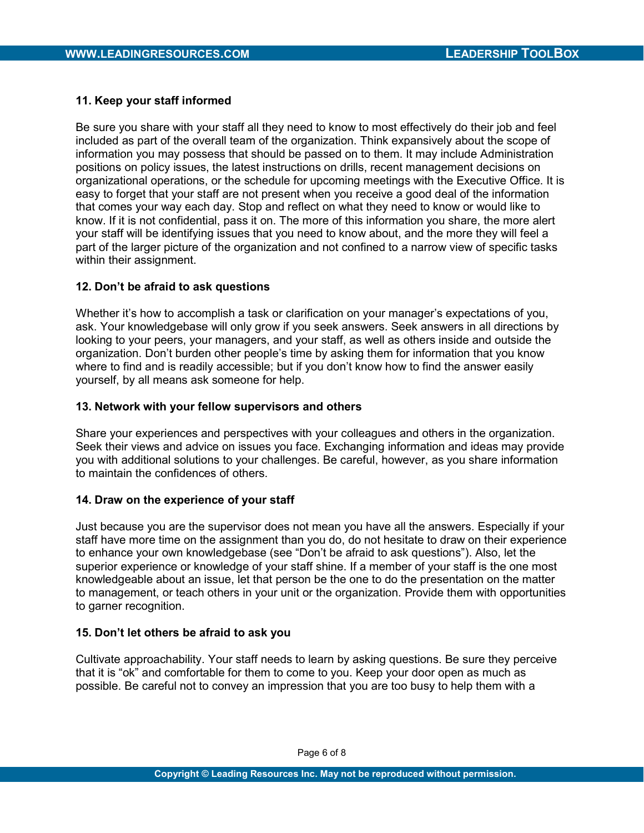# 11. Keep your staff informed

Be sure you share with your staff all they need to know to most effectively do their job and feel included as part of the overall team of the organization. Think expansively about the scope of information you may possess that should be passed on to them. It may include Administration positions on policy issues, the latest instructions on drills, recent management decisions on organizational operations, or the schedule for upcoming meetings with the Executive Office. It is easy to forget that your staff are not present when you receive a good deal of the information that comes your way each day. Stop and reflect on what they need to know or would like to know. If it is not confidential, pass it on. The more of this information you share, the more alert your staff will be identifying issues that you need to know about, and the more they will feel a part of the larger picture of the organization and not confined to a narrow view of specific tasks within their assignment.

# 12. Don't be afraid to ask questions

Whether it's how to accomplish a task or clarification on your manager's expectations of you, ask. Your knowledgebase will only grow if you seek answers. Seek answers in all directions by looking to your peers, your managers, and your staff, as well as others inside and outside the organization. Don't burden other people's time by asking them for information that you know where to find and is readily accessible; but if you don't know how to find the answer easily yourself, by all means ask someone for help.

## 13. Network with your fellow supervisors and others

Share your experiences and perspectives with your colleagues and others in the organization. Seek their views and advice on issues you face. Exchanging information and ideas may provide you with additional solutions to your challenges. Be careful, however, as you share information to maintain the confidences of others.

## 14. Draw on the experience of your staff

Just because you are the supervisor does not mean you have all the answers. Especially if your staff have more time on the assignment than you do, do not hesitate to draw on their experience to enhance your own knowledgebase (see "Don't be afraid to ask questions"). Also, let the superior experience or knowledge of your staff shine. If a member of your staff is the one most knowledgeable about an issue, let that person be the one to do the presentation on the matter to management, or teach others in your unit or the organization. Provide them with opportunities to garner recognition.

## 15. Don't let others be afraid to ask you

Cultivate approachability. Your staff needs to learn by asking questions. Be sure they perceive that it is "ok" and comfortable for them to come to you. Keep your door open as much as possible. Be careful not to convey an impression that you are too busy to help them with a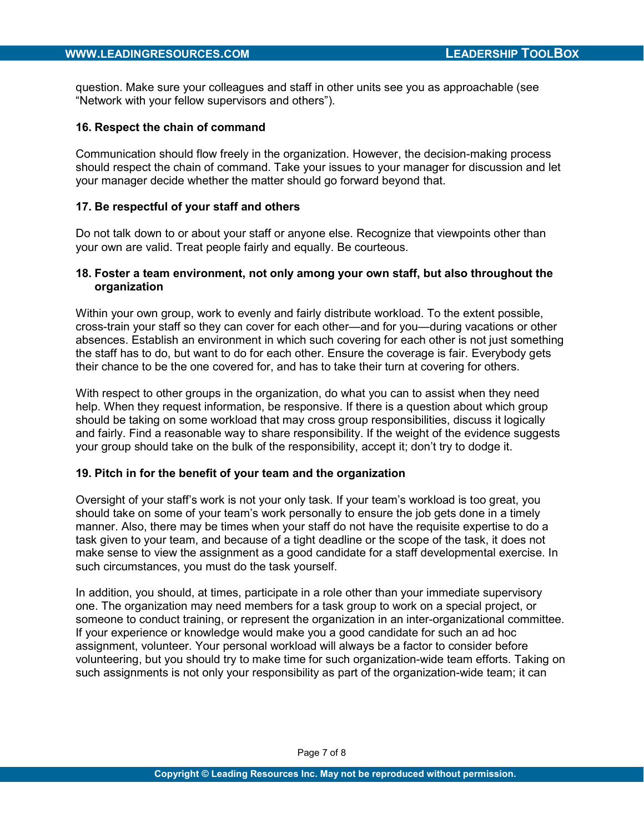question. Make sure your colleagues and staff in other units see you as approachable (see "Network with your fellow supervisors and others").

#### 16. Respect the chain of command

Communication should flow freely in the organization. However, the decision-making process should respect the chain of command. Take your issues to your manager for discussion and let your manager decide whether the matter should go forward beyond that.

#### 17. Be respectful of your staff and others

Do not talk down to or about your staff or anyone else. Recognize that viewpoints other than your own are valid. Treat people fairly and equally. Be courteous.

## 18. Foster a team environment, not only among your own staff, but also throughout the organization

Within your own group, work to evenly and fairly distribute workload. To the extent possible, cross-train your staff so they can cover for each other—and for you—during vacations or other absences. Establish an environment in which such covering for each other is not just something the staff has to do, but want to do for each other. Ensure the coverage is fair. Everybody gets their chance to be the one covered for, and has to take their turn at covering for others.

With respect to other groups in the organization, do what you can to assist when they need help. When they request information, be responsive. If there is a question about which group should be taking on some workload that may cross group responsibilities, discuss it logically and fairly. Find a reasonable way to share responsibility. If the weight of the evidence suggests your group should take on the bulk of the responsibility, accept it; don't try to dodge it.

#### 19. Pitch in for the benefit of your team and the organization

Oversight of your staff's work is not your only task. If your team's workload is too great, you should take on some of your team's work personally to ensure the job gets done in a timely manner. Also, there may be times when your staff do not have the requisite expertise to do a task given to your team, and because of a tight deadline or the scope of the task, it does not make sense to view the assignment as a good candidate for a staff developmental exercise. In such circumstances, you must do the task yourself.

In addition, you should, at times, participate in a role other than your immediate supervisory one. The organization may need members for a task group to work on a special project, or someone to conduct training, or represent the organization in an inter-organizational committee. If your experience or knowledge would make you a good candidate for such an ad hoc assignment, volunteer. Your personal workload will always be a factor to consider before volunteering, but you should try to make time for such organization-wide team efforts. Taking on such assignments is not only your responsibility as part of the organization-wide team; it can